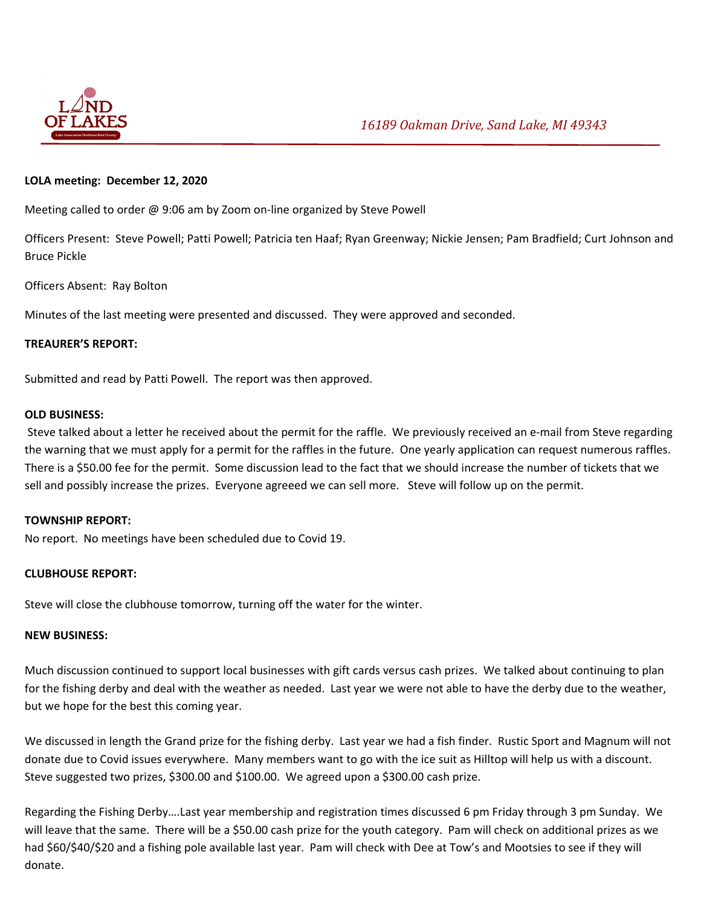

# **LOLA meeting: December 12, 2020**

Meeting called to order @ 9:06 am by Zoom on-line organized by Steve Powell

Officers Present: Steve Powell; Patti Powell; Patricia ten Haaf; Ryan Greenway; Nickie Jensen; Pam Bradfield; Curt Johnson and Bruce Pickle

# Officers Absent: Ray Bolton

Minutes of the last meeting were presented and discussed. They were approved and seconded.

# **TREAURER'S REPORT:**

Submitted and read by Patti Powell. The report was then approved.

### **OLD BUSINESS:**

Steve talked about a letter he received about the permit for the raffle. We previously received an e‐mail from Steve regarding the warning that we must apply for a permit for the raffles in the future. One yearly application can request numerous raffles. There is a \$50.00 fee for the permit. Some discussion lead to the fact that we should increase the number of tickets that we sell and possibly increase the prizes. Everyone agreeed we can sell more. Steve will follow up on the permit.

### **TOWNSHIP REPORT:**

No report. No meetings have been scheduled due to Covid 19.

# **CLUBHOUSE REPORT:**

Steve will close the clubhouse tomorrow, turning off the water for the winter.

### **NEW BUSINESS:**

Much discussion continued to support local businesses with gift cards versus cash prizes. We talked about continuing to plan for the fishing derby and deal with the weather as needed. Last year we were not able to have the derby due to the weather, but we hope for the best this coming year.

We discussed in length the Grand prize for the fishing derby. Last year we had a fish finder. Rustic Sport and Magnum will not donate due to Covid issues everywhere. Many members want to go with the ice suit as Hilltop will help us with a discount. Steve suggested two prizes, \$300.00 and \$100.00. We agreed upon a \$300.00 cash prize.

Regarding the Fishing Derby….Last year membership and registration times discussed 6 pm Friday through 3 pm Sunday. We will leave that the same. There will be a \$50.00 cash prize for the youth category. Pam will check on additional prizes as we had \$60/\$40/\$20 and a fishing pole available last year. Pam will check with Dee at Tow's and Mootsies to see if they will donate.